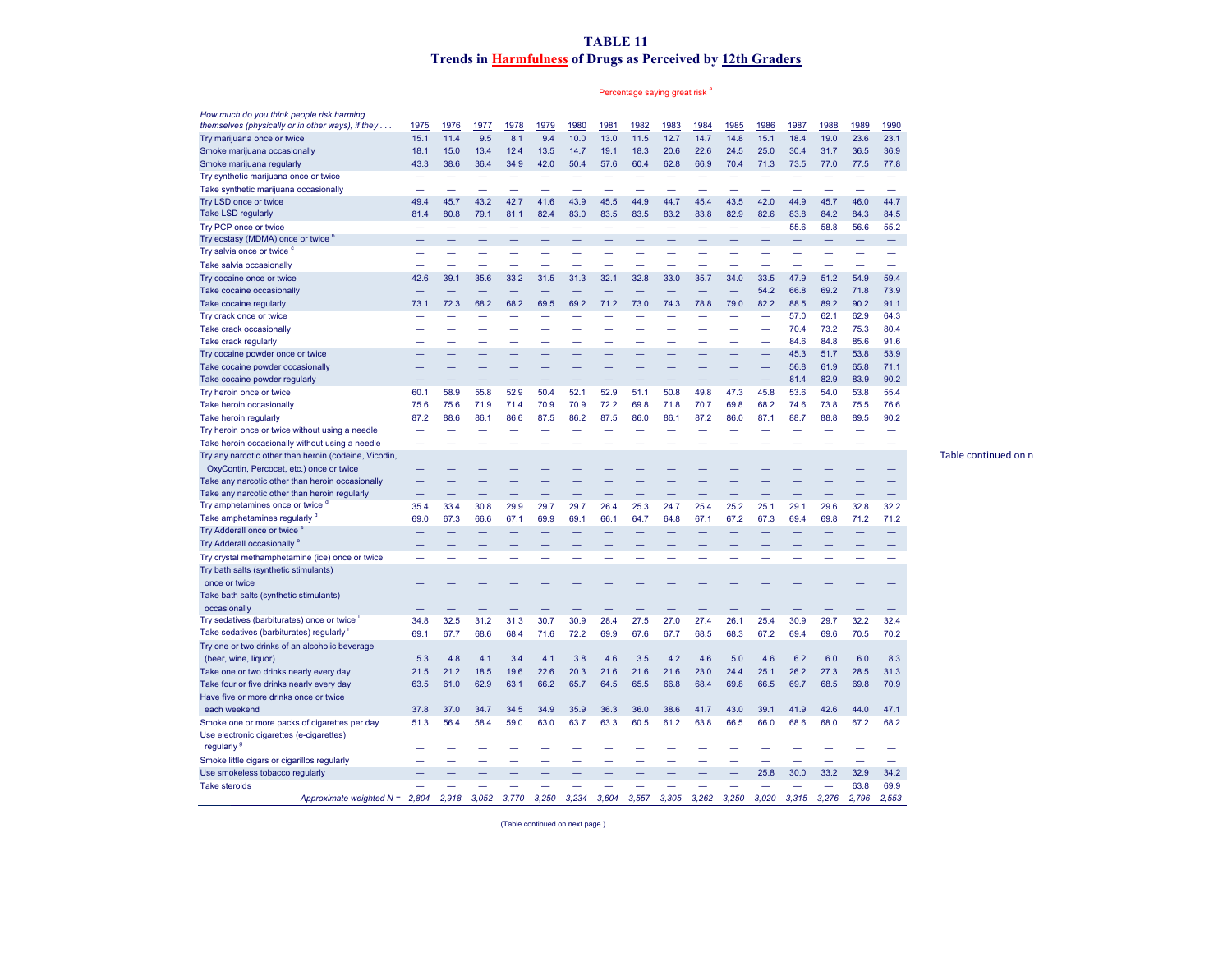## **TABLE 11 Trends in Harmfulness of Drugs as Perceived by 12th Graders**

Percentage saying great risk<sup>a</sup>

Table continued on n

| 15.1<br>11.4<br>9.5<br>8.1<br>9.4<br>10.0<br>13.0<br>12.7<br>14.7<br>15.1<br>18.4<br>19.0<br>23.6<br>23.1<br>Try marijuana once or twice<br>11.5<br>14.8<br>22.6<br>31.7<br>15.0<br>13.4<br>12.4<br>13.5<br>14.7<br>19.1<br>18.3<br>20.6<br>24.5<br>25.0<br>30.4<br>36.5<br>36.9<br>Smoke marijuana occasionally<br>18.1<br>Smoke marijuana regularly<br>43.3<br>38.6<br>36.4<br>34.9<br>42.0<br>50.4<br>57.6<br>60.4<br>62.8<br>66.9<br>70.4<br>71.3<br>73.5<br>77.0<br>77.5<br>77.8<br>Try synthetic marijuana once or twice<br>Take synthetic marijuana occasionally<br>44.9<br>46.0<br>44.7<br>Try LSD once or twice<br>49.4<br>45.7<br>43.2<br>42.7<br>41.6<br>43.9<br>45.5<br>44.9<br>44.7<br>45.4<br>43.5<br>42.0<br>45.7<br>Take LSD regularly<br>81.4<br>80.8<br>79.1<br>81.1<br>82.4<br>83.0<br>83.5<br>83.5<br>83.2<br>83.8<br>82.9<br>82.6<br>83.8<br>84.2<br>84.3<br>84.5<br>58.8<br>Try PCP once or twice<br>55.6<br>56.6<br>55.2<br>$\overline{\phantom{0}}$<br>$\overline{\phantom{0}}$<br>$\overline{\phantom{0}}$<br>Try ecstasy (MDMA) once or twice <sup>b</sup><br>Try salvia once or twice <sup>c</sup><br>Take salvia occasionally<br>33.0<br>Try cocaine once or twice<br>42.6<br>39.1<br>35.6<br>33.2<br>31.5<br>31.3<br>32.1<br>32.8<br>35.7<br>34.0<br>33.5<br>47.9<br>51.2<br>54.9<br>59.4<br>54.2<br>66.8<br>69.2<br>71.8<br>Take cocaine occasionally<br>73.9<br>Take cocaine regularly<br>73.1<br>72.3<br>68.2<br>68.2<br>69.5<br>69.2<br>71.2<br>73.0<br>74.3<br>78.8<br>79.0<br>82.2<br>88.5<br>89.2<br>90.2<br>91.1<br>57.0<br>62.1<br>62.9<br>Try crack once or twice<br>64.3<br>$\overline{\phantom{0}}$<br>-<br>$\overline{\phantom{0}}$<br>73.2<br>75.3<br>Take crack occasionally<br>70.4<br>80.4<br>84.6<br>84.8<br>85.6<br>Take crack regularly<br>91.6<br>÷<br>45.3<br>Try cocaine powder once or twice<br>51.7<br>53.8<br>53.9<br>61.9<br>Take cocaine powder occasionally<br>56.8<br>65.8<br>71.1<br>82.9<br>83.9<br>Take cocaine powder regularly<br>81.4<br>90.2<br>60.1<br>58.9<br>52.9<br>50.4<br>52.9<br>50.8<br>49.8<br>47.3<br>45.8<br>54.0<br>Try heroin once or twice<br>55.8<br>52.1<br>51.1<br>53.6<br>53.8<br>55.4<br>75.6<br>75.6<br>71.4<br>70.9<br>70.9<br>72.2<br>69.8<br>71.8<br>70.7<br>69.8<br>68.2<br>74.6<br>73.8<br>75.5<br>Take heroin occasionally<br>71.9<br>76.6<br>Take heroin regularly<br>87.2<br>88.6<br>86.1<br>86.6<br>87.5<br>86.2<br>87.5<br>86.0<br>86.1<br>87.2<br>86.0<br>87.1<br>88.7<br>88.8<br>89.5<br>90.2<br>Try heroin once or twice without using a needle<br>$\overline{\phantom{0}}$<br>Take heroin occasionally without using a needle<br>Try any narcotic other than heroin (codeine, Vicodin,<br>OxyContin, Percocet, etc.) once or twice<br>Take any narcotic other than heroin occasionally<br>Take any narcotic other than heroin regularly<br>Try amphetamines once or twice <sup>o</sup><br>35.4<br>33.4<br>30.8<br>29.9<br>29.7<br>26.4<br>25.3<br>25.4<br>25.2<br>25.1<br>29.1<br>32.8<br>32.2<br>29.7<br>24.7<br>29.6<br>Take amphetamines regularly d<br>69.0<br>67.3<br>66.6<br>67.1<br>69.9<br>69.1<br>66.1<br>64.7<br>64.8<br>67.1<br>67.2<br>67.3<br>69.4<br>69.8<br>71.2<br>71.2<br>Try Adderall once or twice <sup>6</sup><br>Try Adderall occasionally <sup>e</sup><br>Try crystal methamphetamine (ice) once or twice<br>Try bath salts (synthetic stimulants)<br>once or twice<br>Take bath salts (synthetic stimulants)<br>occasionally<br>Try sedatives (barbiturates) once or twice<br>32.5<br>31.2<br>30.7<br>30.9<br>28.4<br>27.5<br>27.0<br>27.4<br>26.1<br>25.4<br>30.9<br>29.7<br>32.2<br>32.4<br>34.8<br>31.3<br>Take sedatives (barbiturates) regularly "<br>69.1<br>67.7<br>68.6<br>68.4<br>71.6<br>72.2<br>69.9<br>67.6<br>67.7<br>68.5<br>68.3<br>67.2<br>69.4<br>69.6<br>70.5<br>70.2<br>Try one or two drinks of an alcoholic beverage | How much do you think people risk harming         |      |      |      |      |      |      |      |      |      |      |             |             |      |      |      |      |
|----------------------------------------------------------------------------------------------------------------------------------------------------------------------------------------------------------------------------------------------------------------------------------------------------------------------------------------------------------------------------------------------------------------------------------------------------------------------------------------------------------------------------------------------------------------------------------------------------------------------------------------------------------------------------------------------------------------------------------------------------------------------------------------------------------------------------------------------------------------------------------------------------------------------------------------------------------------------------------------------------------------------------------------------------------------------------------------------------------------------------------------------------------------------------------------------------------------------------------------------------------------------------------------------------------------------------------------------------------------------------------------------------------------------------------------------------------------------------------------------------------------------------------------------------------------------------------------------------------------------------------------------------------------------------------------------------------------------------------------------------------------------------------------------------------------------------------------------------------------------------------------------------------------------------------------------------------------------------------------------------------------------------------------------------------------------------------------------------------------------------------------------------------------------------------------------------------------------------------------------------------------------------------------------------------------------------------------------------------------------------------------------------------------------------------------------------------------------------------------------------------------------------------------------------------------------------------------------------------------------------------------------------------------------------------------------------------------------------------------------------------------------------------------------------------------------------------------------------------------------------------------------------------------------------------------------------------------------------------------------------------------------------------------------------------------------------------------------------------------------------------------------------------------------------------------------------------------------------------------------------------------------------------------------------------------------------------------------------------------------------------------------------------------------------------------------------------------------------------------------------------------------------------------------------------------------------------------------------------------------------------------------------------------------------------------------------------------------------------------------------------------------------------------------------------------------------------------------------------------------|---------------------------------------------------|------|------|------|------|------|------|------|------|------|------|-------------|-------------|------|------|------|------|
|                                                                                                                                                                                                                                                                                                                                                                                                                                                                                                                                                                                                                                                                                                                                                                                                                                                                                                                                                                                                                                                                                                                                                                                                                                                                                                                                                                                                                                                                                                                                                                                                                                                                                                                                                                                                                                                                                                                                                                                                                                                                                                                                                                                                                                                                                                                                                                                                                                                                                                                                                                                                                                                                                                                                                                                                                                                                                                                                                                                                                                                                                                                                                                                                                                                                                                                                                                                                                                                                                                                                                                                                                                                                                                                                                                                                                                                                      | themselves (physically or in other ways), if they | 1975 | 1976 | 1977 | 1978 | 1979 | 1980 | 1981 | 1982 | 1983 | 1984 | <u>1985</u> | <u>1986</u> | 1987 | 1988 | 1989 | 1990 |
|                                                                                                                                                                                                                                                                                                                                                                                                                                                                                                                                                                                                                                                                                                                                                                                                                                                                                                                                                                                                                                                                                                                                                                                                                                                                                                                                                                                                                                                                                                                                                                                                                                                                                                                                                                                                                                                                                                                                                                                                                                                                                                                                                                                                                                                                                                                                                                                                                                                                                                                                                                                                                                                                                                                                                                                                                                                                                                                                                                                                                                                                                                                                                                                                                                                                                                                                                                                                                                                                                                                                                                                                                                                                                                                                                                                                                                                                      |                                                   |      |      |      |      |      |      |      |      |      |      |             |             |      |      |      |      |
|                                                                                                                                                                                                                                                                                                                                                                                                                                                                                                                                                                                                                                                                                                                                                                                                                                                                                                                                                                                                                                                                                                                                                                                                                                                                                                                                                                                                                                                                                                                                                                                                                                                                                                                                                                                                                                                                                                                                                                                                                                                                                                                                                                                                                                                                                                                                                                                                                                                                                                                                                                                                                                                                                                                                                                                                                                                                                                                                                                                                                                                                                                                                                                                                                                                                                                                                                                                                                                                                                                                                                                                                                                                                                                                                                                                                                                                                      |                                                   |      |      |      |      |      |      |      |      |      |      |             |             |      |      |      |      |
|                                                                                                                                                                                                                                                                                                                                                                                                                                                                                                                                                                                                                                                                                                                                                                                                                                                                                                                                                                                                                                                                                                                                                                                                                                                                                                                                                                                                                                                                                                                                                                                                                                                                                                                                                                                                                                                                                                                                                                                                                                                                                                                                                                                                                                                                                                                                                                                                                                                                                                                                                                                                                                                                                                                                                                                                                                                                                                                                                                                                                                                                                                                                                                                                                                                                                                                                                                                                                                                                                                                                                                                                                                                                                                                                                                                                                                                                      |                                                   |      |      |      |      |      |      |      |      |      |      |             |             |      |      |      |      |
|                                                                                                                                                                                                                                                                                                                                                                                                                                                                                                                                                                                                                                                                                                                                                                                                                                                                                                                                                                                                                                                                                                                                                                                                                                                                                                                                                                                                                                                                                                                                                                                                                                                                                                                                                                                                                                                                                                                                                                                                                                                                                                                                                                                                                                                                                                                                                                                                                                                                                                                                                                                                                                                                                                                                                                                                                                                                                                                                                                                                                                                                                                                                                                                                                                                                                                                                                                                                                                                                                                                                                                                                                                                                                                                                                                                                                                                                      |                                                   |      |      |      |      |      |      |      |      |      |      |             |             |      |      |      |      |
|                                                                                                                                                                                                                                                                                                                                                                                                                                                                                                                                                                                                                                                                                                                                                                                                                                                                                                                                                                                                                                                                                                                                                                                                                                                                                                                                                                                                                                                                                                                                                                                                                                                                                                                                                                                                                                                                                                                                                                                                                                                                                                                                                                                                                                                                                                                                                                                                                                                                                                                                                                                                                                                                                                                                                                                                                                                                                                                                                                                                                                                                                                                                                                                                                                                                                                                                                                                                                                                                                                                                                                                                                                                                                                                                                                                                                                                                      |                                                   |      |      |      |      |      |      |      |      |      |      |             |             |      |      |      |      |
|                                                                                                                                                                                                                                                                                                                                                                                                                                                                                                                                                                                                                                                                                                                                                                                                                                                                                                                                                                                                                                                                                                                                                                                                                                                                                                                                                                                                                                                                                                                                                                                                                                                                                                                                                                                                                                                                                                                                                                                                                                                                                                                                                                                                                                                                                                                                                                                                                                                                                                                                                                                                                                                                                                                                                                                                                                                                                                                                                                                                                                                                                                                                                                                                                                                                                                                                                                                                                                                                                                                                                                                                                                                                                                                                                                                                                                                                      |                                                   |      |      |      |      |      |      |      |      |      |      |             |             |      |      |      |      |
|                                                                                                                                                                                                                                                                                                                                                                                                                                                                                                                                                                                                                                                                                                                                                                                                                                                                                                                                                                                                                                                                                                                                                                                                                                                                                                                                                                                                                                                                                                                                                                                                                                                                                                                                                                                                                                                                                                                                                                                                                                                                                                                                                                                                                                                                                                                                                                                                                                                                                                                                                                                                                                                                                                                                                                                                                                                                                                                                                                                                                                                                                                                                                                                                                                                                                                                                                                                                                                                                                                                                                                                                                                                                                                                                                                                                                                                                      |                                                   |      |      |      |      |      |      |      |      |      |      |             |             |      |      |      |      |
|                                                                                                                                                                                                                                                                                                                                                                                                                                                                                                                                                                                                                                                                                                                                                                                                                                                                                                                                                                                                                                                                                                                                                                                                                                                                                                                                                                                                                                                                                                                                                                                                                                                                                                                                                                                                                                                                                                                                                                                                                                                                                                                                                                                                                                                                                                                                                                                                                                                                                                                                                                                                                                                                                                                                                                                                                                                                                                                                                                                                                                                                                                                                                                                                                                                                                                                                                                                                                                                                                                                                                                                                                                                                                                                                                                                                                                                                      |                                                   |      |      |      |      |      |      |      |      |      |      |             |             |      |      |      |      |
|                                                                                                                                                                                                                                                                                                                                                                                                                                                                                                                                                                                                                                                                                                                                                                                                                                                                                                                                                                                                                                                                                                                                                                                                                                                                                                                                                                                                                                                                                                                                                                                                                                                                                                                                                                                                                                                                                                                                                                                                                                                                                                                                                                                                                                                                                                                                                                                                                                                                                                                                                                                                                                                                                                                                                                                                                                                                                                                                                                                                                                                                                                                                                                                                                                                                                                                                                                                                                                                                                                                                                                                                                                                                                                                                                                                                                                                                      |                                                   |      |      |      |      |      |      |      |      |      |      |             |             |      |      |      |      |
|                                                                                                                                                                                                                                                                                                                                                                                                                                                                                                                                                                                                                                                                                                                                                                                                                                                                                                                                                                                                                                                                                                                                                                                                                                                                                                                                                                                                                                                                                                                                                                                                                                                                                                                                                                                                                                                                                                                                                                                                                                                                                                                                                                                                                                                                                                                                                                                                                                                                                                                                                                                                                                                                                                                                                                                                                                                                                                                                                                                                                                                                                                                                                                                                                                                                                                                                                                                                                                                                                                                                                                                                                                                                                                                                                                                                                                                                      |                                                   |      |      |      |      |      |      |      |      |      |      |             |             |      |      |      |      |
|                                                                                                                                                                                                                                                                                                                                                                                                                                                                                                                                                                                                                                                                                                                                                                                                                                                                                                                                                                                                                                                                                                                                                                                                                                                                                                                                                                                                                                                                                                                                                                                                                                                                                                                                                                                                                                                                                                                                                                                                                                                                                                                                                                                                                                                                                                                                                                                                                                                                                                                                                                                                                                                                                                                                                                                                                                                                                                                                                                                                                                                                                                                                                                                                                                                                                                                                                                                                                                                                                                                                                                                                                                                                                                                                                                                                                                                                      |                                                   |      |      |      |      |      |      |      |      |      |      |             |             |      |      |      |      |
|                                                                                                                                                                                                                                                                                                                                                                                                                                                                                                                                                                                                                                                                                                                                                                                                                                                                                                                                                                                                                                                                                                                                                                                                                                                                                                                                                                                                                                                                                                                                                                                                                                                                                                                                                                                                                                                                                                                                                                                                                                                                                                                                                                                                                                                                                                                                                                                                                                                                                                                                                                                                                                                                                                                                                                                                                                                                                                                                                                                                                                                                                                                                                                                                                                                                                                                                                                                                                                                                                                                                                                                                                                                                                                                                                                                                                                                                      |                                                   |      |      |      |      |      |      |      |      |      |      |             |             |      |      |      |      |
|                                                                                                                                                                                                                                                                                                                                                                                                                                                                                                                                                                                                                                                                                                                                                                                                                                                                                                                                                                                                                                                                                                                                                                                                                                                                                                                                                                                                                                                                                                                                                                                                                                                                                                                                                                                                                                                                                                                                                                                                                                                                                                                                                                                                                                                                                                                                                                                                                                                                                                                                                                                                                                                                                                                                                                                                                                                                                                                                                                                                                                                                                                                                                                                                                                                                                                                                                                                                                                                                                                                                                                                                                                                                                                                                                                                                                                                                      |                                                   |      |      |      |      |      |      |      |      |      |      |             |             |      |      |      |      |
|                                                                                                                                                                                                                                                                                                                                                                                                                                                                                                                                                                                                                                                                                                                                                                                                                                                                                                                                                                                                                                                                                                                                                                                                                                                                                                                                                                                                                                                                                                                                                                                                                                                                                                                                                                                                                                                                                                                                                                                                                                                                                                                                                                                                                                                                                                                                                                                                                                                                                                                                                                                                                                                                                                                                                                                                                                                                                                                                                                                                                                                                                                                                                                                                                                                                                                                                                                                                                                                                                                                                                                                                                                                                                                                                                                                                                                                                      |                                                   |      |      |      |      |      |      |      |      |      |      |             |             |      |      |      |      |
|                                                                                                                                                                                                                                                                                                                                                                                                                                                                                                                                                                                                                                                                                                                                                                                                                                                                                                                                                                                                                                                                                                                                                                                                                                                                                                                                                                                                                                                                                                                                                                                                                                                                                                                                                                                                                                                                                                                                                                                                                                                                                                                                                                                                                                                                                                                                                                                                                                                                                                                                                                                                                                                                                                                                                                                                                                                                                                                                                                                                                                                                                                                                                                                                                                                                                                                                                                                                                                                                                                                                                                                                                                                                                                                                                                                                                                                                      |                                                   |      |      |      |      |      |      |      |      |      |      |             |             |      |      |      |      |
|                                                                                                                                                                                                                                                                                                                                                                                                                                                                                                                                                                                                                                                                                                                                                                                                                                                                                                                                                                                                                                                                                                                                                                                                                                                                                                                                                                                                                                                                                                                                                                                                                                                                                                                                                                                                                                                                                                                                                                                                                                                                                                                                                                                                                                                                                                                                                                                                                                                                                                                                                                                                                                                                                                                                                                                                                                                                                                                                                                                                                                                                                                                                                                                                                                                                                                                                                                                                                                                                                                                                                                                                                                                                                                                                                                                                                                                                      |                                                   |      |      |      |      |      |      |      |      |      |      |             |             |      |      |      |      |
|                                                                                                                                                                                                                                                                                                                                                                                                                                                                                                                                                                                                                                                                                                                                                                                                                                                                                                                                                                                                                                                                                                                                                                                                                                                                                                                                                                                                                                                                                                                                                                                                                                                                                                                                                                                                                                                                                                                                                                                                                                                                                                                                                                                                                                                                                                                                                                                                                                                                                                                                                                                                                                                                                                                                                                                                                                                                                                                                                                                                                                                                                                                                                                                                                                                                                                                                                                                                                                                                                                                                                                                                                                                                                                                                                                                                                                                                      |                                                   |      |      |      |      |      |      |      |      |      |      |             |             |      |      |      |      |
|                                                                                                                                                                                                                                                                                                                                                                                                                                                                                                                                                                                                                                                                                                                                                                                                                                                                                                                                                                                                                                                                                                                                                                                                                                                                                                                                                                                                                                                                                                                                                                                                                                                                                                                                                                                                                                                                                                                                                                                                                                                                                                                                                                                                                                                                                                                                                                                                                                                                                                                                                                                                                                                                                                                                                                                                                                                                                                                                                                                                                                                                                                                                                                                                                                                                                                                                                                                                                                                                                                                                                                                                                                                                                                                                                                                                                                                                      |                                                   |      |      |      |      |      |      |      |      |      |      |             |             |      |      |      |      |
|                                                                                                                                                                                                                                                                                                                                                                                                                                                                                                                                                                                                                                                                                                                                                                                                                                                                                                                                                                                                                                                                                                                                                                                                                                                                                                                                                                                                                                                                                                                                                                                                                                                                                                                                                                                                                                                                                                                                                                                                                                                                                                                                                                                                                                                                                                                                                                                                                                                                                                                                                                                                                                                                                                                                                                                                                                                                                                                                                                                                                                                                                                                                                                                                                                                                                                                                                                                                                                                                                                                                                                                                                                                                                                                                                                                                                                                                      |                                                   |      |      |      |      |      |      |      |      |      |      |             |             |      |      |      |      |
|                                                                                                                                                                                                                                                                                                                                                                                                                                                                                                                                                                                                                                                                                                                                                                                                                                                                                                                                                                                                                                                                                                                                                                                                                                                                                                                                                                                                                                                                                                                                                                                                                                                                                                                                                                                                                                                                                                                                                                                                                                                                                                                                                                                                                                                                                                                                                                                                                                                                                                                                                                                                                                                                                                                                                                                                                                                                                                                                                                                                                                                                                                                                                                                                                                                                                                                                                                                                                                                                                                                                                                                                                                                                                                                                                                                                                                                                      |                                                   |      |      |      |      |      |      |      |      |      |      |             |             |      |      |      |      |
|                                                                                                                                                                                                                                                                                                                                                                                                                                                                                                                                                                                                                                                                                                                                                                                                                                                                                                                                                                                                                                                                                                                                                                                                                                                                                                                                                                                                                                                                                                                                                                                                                                                                                                                                                                                                                                                                                                                                                                                                                                                                                                                                                                                                                                                                                                                                                                                                                                                                                                                                                                                                                                                                                                                                                                                                                                                                                                                                                                                                                                                                                                                                                                                                                                                                                                                                                                                                                                                                                                                                                                                                                                                                                                                                                                                                                                                                      |                                                   |      |      |      |      |      |      |      |      |      |      |             |             |      |      |      |      |
|                                                                                                                                                                                                                                                                                                                                                                                                                                                                                                                                                                                                                                                                                                                                                                                                                                                                                                                                                                                                                                                                                                                                                                                                                                                                                                                                                                                                                                                                                                                                                                                                                                                                                                                                                                                                                                                                                                                                                                                                                                                                                                                                                                                                                                                                                                                                                                                                                                                                                                                                                                                                                                                                                                                                                                                                                                                                                                                                                                                                                                                                                                                                                                                                                                                                                                                                                                                                                                                                                                                                                                                                                                                                                                                                                                                                                                                                      |                                                   |      |      |      |      |      |      |      |      |      |      |             |             |      |      |      |      |
|                                                                                                                                                                                                                                                                                                                                                                                                                                                                                                                                                                                                                                                                                                                                                                                                                                                                                                                                                                                                                                                                                                                                                                                                                                                                                                                                                                                                                                                                                                                                                                                                                                                                                                                                                                                                                                                                                                                                                                                                                                                                                                                                                                                                                                                                                                                                                                                                                                                                                                                                                                                                                                                                                                                                                                                                                                                                                                                                                                                                                                                                                                                                                                                                                                                                                                                                                                                                                                                                                                                                                                                                                                                                                                                                                                                                                                                                      |                                                   |      |      |      |      |      |      |      |      |      |      |             |             |      |      |      |      |
|                                                                                                                                                                                                                                                                                                                                                                                                                                                                                                                                                                                                                                                                                                                                                                                                                                                                                                                                                                                                                                                                                                                                                                                                                                                                                                                                                                                                                                                                                                                                                                                                                                                                                                                                                                                                                                                                                                                                                                                                                                                                                                                                                                                                                                                                                                                                                                                                                                                                                                                                                                                                                                                                                                                                                                                                                                                                                                                                                                                                                                                                                                                                                                                                                                                                                                                                                                                                                                                                                                                                                                                                                                                                                                                                                                                                                                                                      |                                                   |      |      |      |      |      |      |      |      |      |      |             |             |      |      |      |      |
|                                                                                                                                                                                                                                                                                                                                                                                                                                                                                                                                                                                                                                                                                                                                                                                                                                                                                                                                                                                                                                                                                                                                                                                                                                                                                                                                                                                                                                                                                                                                                                                                                                                                                                                                                                                                                                                                                                                                                                                                                                                                                                                                                                                                                                                                                                                                                                                                                                                                                                                                                                                                                                                                                                                                                                                                                                                                                                                                                                                                                                                                                                                                                                                                                                                                                                                                                                                                                                                                                                                                                                                                                                                                                                                                                                                                                                                                      |                                                   |      |      |      |      |      |      |      |      |      |      |             |             |      |      |      |      |
|                                                                                                                                                                                                                                                                                                                                                                                                                                                                                                                                                                                                                                                                                                                                                                                                                                                                                                                                                                                                                                                                                                                                                                                                                                                                                                                                                                                                                                                                                                                                                                                                                                                                                                                                                                                                                                                                                                                                                                                                                                                                                                                                                                                                                                                                                                                                                                                                                                                                                                                                                                                                                                                                                                                                                                                                                                                                                                                                                                                                                                                                                                                                                                                                                                                                                                                                                                                                                                                                                                                                                                                                                                                                                                                                                                                                                                                                      |                                                   |      |      |      |      |      |      |      |      |      |      |             |             |      |      |      |      |
|                                                                                                                                                                                                                                                                                                                                                                                                                                                                                                                                                                                                                                                                                                                                                                                                                                                                                                                                                                                                                                                                                                                                                                                                                                                                                                                                                                                                                                                                                                                                                                                                                                                                                                                                                                                                                                                                                                                                                                                                                                                                                                                                                                                                                                                                                                                                                                                                                                                                                                                                                                                                                                                                                                                                                                                                                                                                                                                                                                                                                                                                                                                                                                                                                                                                                                                                                                                                                                                                                                                                                                                                                                                                                                                                                                                                                                                                      |                                                   |      |      |      |      |      |      |      |      |      |      |             |             |      |      |      |      |
|                                                                                                                                                                                                                                                                                                                                                                                                                                                                                                                                                                                                                                                                                                                                                                                                                                                                                                                                                                                                                                                                                                                                                                                                                                                                                                                                                                                                                                                                                                                                                                                                                                                                                                                                                                                                                                                                                                                                                                                                                                                                                                                                                                                                                                                                                                                                                                                                                                                                                                                                                                                                                                                                                                                                                                                                                                                                                                                                                                                                                                                                                                                                                                                                                                                                                                                                                                                                                                                                                                                                                                                                                                                                                                                                                                                                                                                                      |                                                   |      |      |      |      |      |      |      |      |      |      |             |             |      |      |      |      |
|                                                                                                                                                                                                                                                                                                                                                                                                                                                                                                                                                                                                                                                                                                                                                                                                                                                                                                                                                                                                                                                                                                                                                                                                                                                                                                                                                                                                                                                                                                                                                                                                                                                                                                                                                                                                                                                                                                                                                                                                                                                                                                                                                                                                                                                                                                                                                                                                                                                                                                                                                                                                                                                                                                                                                                                                                                                                                                                                                                                                                                                                                                                                                                                                                                                                                                                                                                                                                                                                                                                                                                                                                                                                                                                                                                                                                                                                      |                                                   |      |      |      |      |      |      |      |      |      |      |             |             |      |      |      |      |
|                                                                                                                                                                                                                                                                                                                                                                                                                                                                                                                                                                                                                                                                                                                                                                                                                                                                                                                                                                                                                                                                                                                                                                                                                                                                                                                                                                                                                                                                                                                                                                                                                                                                                                                                                                                                                                                                                                                                                                                                                                                                                                                                                                                                                                                                                                                                                                                                                                                                                                                                                                                                                                                                                                                                                                                                                                                                                                                                                                                                                                                                                                                                                                                                                                                                                                                                                                                                                                                                                                                                                                                                                                                                                                                                                                                                                                                                      |                                                   |      |      |      |      |      |      |      |      |      |      |             |             |      |      |      |      |
|                                                                                                                                                                                                                                                                                                                                                                                                                                                                                                                                                                                                                                                                                                                                                                                                                                                                                                                                                                                                                                                                                                                                                                                                                                                                                                                                                                                                                                                                                                                                                                                                                                                                                                                                                                                                                                                                                                                                                                                                                                                                                                                                                                                                                                                                                                                                                                                                                                                                                                                                                                                                                                                                                                                                                                                                                                                                                                                                                                                                                                                                                                                                                                                                                                                                                                                                                                                                                                                                                                                                                                                                                                                                                                                                                                                                                                                                      |                                                   |      |      |      |      |      |      |      |      |      |      |             |             |      |      |      |      |
|                                                                                                                                                                                                                                                                                                                                                                                                                                                                                                                                                                                                                                                                                                                                                                                                                                                                                                                                                                                                                                                                                                                                                                                                                                                                                                                                                                                                                                                                                                                                                                                                                                                                                                                                                                                                                                                                                                                                                                                                                                                                                                                                                                                                                                                                                                                                                                                                                                                                                                                                                                                                                                                                                                                                                                                                                                                                                                                                                                                                                                                                                                                                                                                                                                                                                                                                                                                                                                                                                                                                                                                                                                                                                                                                                                                                                                                                      |                                                   |      |      |      |      |      |      |      |      |      |      |             |             |      |      |      |      |
|                                                                                                                                                                                                                                                                                                                                                                                                                                                                                                                                                                                                                                                                                                                                                                                                                                                                                                                                                                                                                                                                                                                                                                                                                                                                                                                                                                                                                                                                                                                                                                                                                                                                                                                                                                                                                                                                                                                                                                                                                                                                                                                                                                                                                                                                                                                                                                                                                                                                                                                                                                                                                                                                                                                                                                                                                                                                                                                                                                                                                                                                                                                                                                                                                                                                                                                                                                                                                                                                                                                                                                                                                                                                                                                                                                                                                                                                      |                                                   |      |      |      |      |      |      |      |      |      |      |             |             |      |      |      |      |
|                                                                                                                                                                                                                                                                                                                                                                                                                                                                                                                                                                                                                                                                                                                                                                                                                                                                                                                                                                                                                                                                                                                                                                                                                                                                                                                                                                                                                                                                                                                                                                                                                                                                                                                                                                                                                                                                                                                                                                                                                                                                                                                                                                                                                                                                                                                                                                                                                                                                                                                                                                                                                                                                                                                                                                                                                                                                                                                                                                                                                                                                                                                                                                                                                                                                                                                                                                                                                                                                                                                                                                                                                                                                                                                                                                                                                                                                      |                                                   |      |      |      |      |      |      |      |      |      |      |             |             |      |      |      |      |
|                                                                                                                                                                                                                                                                                                                                                                                                                                                                                                                                                                                                                                                                                                                                                                                                                                                                                                                                                                                                                                                                                                                                                                                                                                                                                                                                                                                                                                                                                                                                                                                                                                                                                                                                                                                                                                                                                                                                                                                                                                                                                                                                                                                                                                                                                                                                                                                                                                                                                                                                                                                                                                                                                                                                                                                                                                                                                                                                                                                                                                                                                                                                                                                                                                                                                                                                                                                                                                                                                                                                                                                                                                                                                                                                                                                                                                                                      |                                                   |      |      |      |      |      |      |      |      |      |      |             |             |      |      |      |      |
|                                                                                                                                                                                                                                                                                                                                                                                                                                                                                                                                                                                                                                                                                                                                                                                                                                                                                                                                                                                                                                                                                                                                                                                                                                                                                                                                                                                                                                                                                                                                                                                                                                                                                                                                                                                                                                                                                                                                                                                                                                                                                                                                                                                                                                                                                                                                                                                                                                                                                                                                                                                                                                                                                                                                                                                                                                                                                                                                                                                                                                                                                                                                                                                                                                                                                                                                                                                                                                                                                                                                                                                                                                                                                                                                                                                                                                                                      |                                                   |      |      |      |      |      |      |      |      |      |      |             |             |      |      |      |      |
|                                                                                                                                                                                                                                                                                                                                                                                                                                                                                                                                                                                                                                                                                                                                                                                                                                                                                                                                                                                                                                                                                                                                                                                                                                                                                                                                                                                                                                                                                                                                                                                                                                                                                                                                                                                                                                                                                                                                                                                                                                                                                                                                                                                                                                                                                                                                                                                                                                                                                                                                                                                                                                                                                                                                                                                                                                                                                                                                                                                                                                                                                                                                                                                                                                                                                                                                                                                                                                                                                                                                                                                                                                                                                                                                                                                                                                                                      |                                                   |      |      |      |      |      |      |      |      |      |      |             |             |      |      |      |      |
|                                                                                                                                                                                                                                                                                                                                                                                                                                                                                                                                                                                                                                                                                                                                                                                                                                                                                                                                                                                                                                                                                                                                                                                                                                                                                                                                                                                                                                                                                                                                                                                                                                                                                                                                                                                                                                                                                                                                                                                                                                                                                                                                                                                                                                                                                                                                                                                                                                                                                                                                                                                                                                                                                                                                                                                                                                                                                                                                                                                                                                                                                                                                                                                                                                                                                                                                                                                                                                                                                                                                                                                                                                                                                                                                                                                                                                                                      |                                                   |      |      |      |      |      |      |      |      |      |      |             |             |      |      |      |      |
|                                                                                                                                                                                                                                                                                                                                                                                                                                                                                                                                                                                                                                                                                                                                                                                                                                                                                                                                                                                                                                                                                                                                                                                                                                                                                                                                                                                                                                                                                                                                                                                                                                                                                                                                                                                                                                                                                                                                                                                                                                                                                                                                                                                                                                                                                                                                                                                                                                                                                                                                                                                                                                                                                                                                                                                                                                                                                                                                                                                                                                                                                                                                                                                                                                                                                                                                                                                                                                                                                                                                                                                                                                                                                                                                                                                                                                                                      |                                                   |      |      |      |      |      |      |      |      |      |      |             |             |      |      |      |      |
|                                                                                                                                                                                                                                                                                                                                                                                                                                                                                                                                                                                                                                                                                                                                                                                                                                                                                                                                                                                                                                                                                                                                                                                                                                                                                                                                                                                                                                                                                                                                                                                                                                                                                                                                                                                                                                                                                                                                                                                                                                                                                                                                                                                                                                                                                                                                                                                                                                                                                                                                                                                                                                                                                                                                                                                                                                                                                                                                                                                                                                                                                                                                                                                                                                                                                                                                                                                                                                                                                                                                                                                                                                                                                                                                                                                                                                                                      |                                                   |      |      |      |      |      |      |      |      |      |      |             |             |      |      |      |      |
|                                                                                                                                                                                                                                                                                                                                                                                                                                                                                                                                                                                                                                                                                                                                                                                                                                                                                                                                                                                                                                                                                                                                                                                                                                                                                                                                                                                                                                                                                                                                                                                                                                                                                                                                                                                                                                                                                                                                                                                                                                                                                                                                                                                                                                                                                                                                                                                                                                                                                                                                                                                                                                                                                                                                                                                                                                                                                                                                                                                                                                                                                                                                                                                                                                                                                                                                                                                                                                                                                                                                                                                                                                                                                                                                                                                                                                                                      |                                                   |      |      |      |      |      |      |      |      |      |      |             |             |      |      |      |      |
|                                                                                                                                                                                                                                                                                                                                                                                                                                                                                                                                                                                                                                                                                                                                                                                                                                                                                                                                                                                                                                                                                                                                                                                                                                                                                                                                                                                                                                                                                                                                                                                                                                                                                                                                                                                                                                                                                                                                                                                                                                                                                                                                                                                                                                                                                                                                                                                                                                                                                                                                                                                                                                                                                                                                                                                                                                                                                                                                                                                                                                                                                                                                                                                                                                                                                                                                                                                                                                                                                                                                                                                                                                                                                                                                                                                                                                                                      |                                                   |      |      |      |      |      |      |      |      |      |      |             |             |      |      |      |      |
|                                                                                                                                                                                                                                                                                                                                                                                                                                                                                                                                                                                                                                                                                                                                                                                                                                                                                                                                                                                                                                                                                                                                                                                                                                                                                                                                                                                                                                                                                                                                                                                                                                                                                                                                                                                                                                                                                                                                                                                                                                                                                                                                                                                                                                                                                                                                                                                                                                                                                                                                                                                                                                                                                                                                                                                                                                                                                                                                                                                                                                                                                                                                                                                                                                                                                                                                                                                                                                                                                                                                                                                                                                                                                                                                                                                                                                                                      | (beer, wine, liquor)                              | 5.3  | 4.8  | 4.1  | 3.4  | 4.1  | 3.8  | 4.6  | 3.5  | 4.2  | 4.6  | 5.0         | 4.6         | 6.2  | 6.0  | 6.0  | 8.3  |
| 22.6<br>21.2<br>18.5<br>19.6<br>20.3<br>21.6<br>21.6<br>21.6<br>23.0<br>24.4<br>25.1<br>26.2<br>27.3<br>28.5<br>31.3<br>Take one or two drinks nearly every day<br>21.5                                                                                                                                                                                                                                                                                                                                                                                                                                                                                                                                                                                                                                                                                                                                                                                                                                                                                                                                                                                                                                                                                                                                                                                                                                                                                                                                                                                                                                                                                                                                                                                                                                                                                                                                                                                                                                                                                                                                                                                                                                                                                                                                                                                                                                                                                                                                                                                                                                                                                                                                                                                                                                                                                                                                                                                                                                                                                                                                                                                                                                                                                                                                                                                                                                                                                                                                                                                                                                                                                                                                                                                                                                                                                              |                                                   |      |      |      |      |      |      |      |      |      |      |             |             |      |      |      |      |
| Take four or five drinks nearly every day<br>61.0<br>62.9<br>63.1<br>66.2<br>65.7<br>64.5<br>65.5<br>66.8<br>68.4<br>69.8<br>66.5<br>69.7<br>68.5<br>69.8<br>70.9<br>63.5                                                                                                                                                                                                                                                                                                                                                                                                                                                                                                                                                                                                                                                                                                                                                                                                                                                                                                                                                                                                                                                                                                                                                                                                                                                                                                                                                                                                                                                                                                                                                                                                                                                                                                                                                                                                                                                                                                                                                                                                                                                                                                                                                                                                                                                                                                                                                                                                                                                                                                                                                                                                                                                                                                                                                                                                                                                                                                                                                                                                                                                                                                                                                                                                                                                                                                                                                                                                                                                                                                                                                                                                                                                                                            |                                                   |      |      |      |      |      |      |      |      |      |      |             |             |      |      |      |      |
| Have five or more drinks once or twice                                                                                                                                                                                                                                                                                                                                                                                                                                                                                                                                                                                                                                                                                                                                                                                                                                                                                                                                                                                                                                                                                                                                                                                                                                                                                                                                                                                                                                                                                                                                                                                                                                                                                                                                                                                                                                                                                                                                                                                                                                                                                                                                                                                                                                                                                                                                                                                                                                                                                                                                                                                                                                                                                                                                                                                                                                                                                                                                                                                                                                                                                                                                                                                                                                                                                                                                                                                                                                                                                                                                                                                                                                                                                                                                                                                                                               |                                                   |      |      |      |      |      |      |      |      |      |      |             |             |      |      |      |      |
| each weekend<br>37.8<br>37.0<br>34.7<br>34.5<br>34.9<br>35.9<br>36.3<br>36.0<br>38.6<br>41.7<br>43.0<br>39.1<br>41.9<br>42.6<br>44.0<br>47.1                                                                                                                                                                                                                                                                                                                                                                                                                                                                                                                                                                                                                                                                                                                                                                                                                                                                                                                                                                                                                                                                                                                                                                                                                                                                                                                                                                                                                                                                                                                                                                                                                                                                                                                                                                                                                                                                                                                                                                                                                                                                                                                                                                                                                                                                                                                                                                                                                                                                                                                                                                                                                                                                                                                                                                                                                                                                                                                                                                                                                                                                                                                                                                                                                                                                                                                                                                                                                                                                                                                                                                                                                                                                                                                         |                                                   |      |      |      |      |      |      |      |      |      |      |             |             |      |      |      |      |
| Smoke one or more packs of cigarettes per day<br>51.3<br>56.4<br>58.4<br>59.0<br>63.0<br>63.7<br>63.3<br>60.5<br>61.2<br>63.8<br>66.5<br>66.0<br>68.6<br>68.0<br>67.2<br>68.2                                                                                                                                                                                                                                                                                                                                                                                                                                                                                                                                                                                                                                                                                                                                                                                                                                                                                                                                                                                                                                                                                                                                                                                                                                                                                                                                                                                                                                                                                                                                                                                                                                                                                                                                                                                                                                                                                                                                                                                                                                                                                                                                                                                                                                                                                                                                                                                                                                                                                                                                                                                                                                                                                                                                                                                                                                                                                                                                                                                                                                                                                                                                                                                                                                                                                                                                                                                                                                                                                                                                                                                                                                                                                        |                                                   |      |      |      |      |      |      |      |      |      |      |             |             |      |      |      |      |
| Use electronic cigarettes (e-cigarettes)                                                                                                                                                                                                                                                                                                                                                                                                                                                                                                                                                                                                                                                                                                                                                                                                                                                                                                                                                                                                                                                                                                                                                                                                                                                                                                                                                                                                                                                                                                                                                                                                                                                                                                                                                                                                                                                                                                                                                                                                                                                                                                                                                                                                                                                                                                                                                                                                                                                                                                                                                                                                                                                                                                                                                                                                                                                                                                                                                                                                                                                                                                                                                                                                                                                                                                                                                                                                                                                                                                                                                                                                                                                                                                                                                                                                                             |                                                   |      |      |      |      |      |      |      |      |      |      |             |             |      |      |      |      |
| regularly <sup>9</sup>                                                                                                                                                                                                                                                                                                                                                                                                                                                                                                                                                                                                                                                                                                                                                                                                                                                                                                                                                                                                                                                                                                                                                                                                                                                                                                                                                                                                                                                                                                                                                                                                                                                                                                                                                                                                                                                                                                                                                                                                                                                                                                                                                                                                                                                                                                                                                                                                                                                                                                                                                                                                                                                                                                                                                                                                                                                                                                                                                                                                                                                                                                                                                                                                                                                                                                                                                                                                                                                                                                                                                                                                                                                                                                                                                                                                                                               |                                                   |      |      |      |      |      |      |      |      |      |      |             |             |      |      |      |      |
| Smoke little cigars or cigarillos regularly                                                                                                                                                                                                                                                                                                                                                                                                                                                                                                                                                                                                                                                                                                                                                                                                                                                                                                                                                                                                                                                                                                                                                                                                                                                                                                                                                                                                                                                                                                                                                                                                                                                                                                                                                                                                                                                                                                                                                                                                                                                                                                                                                                                                                                                                                                                                                                                                                                                                                                                                                                                                                                                                                                                                                                                                                                                                                                                                                                                                                                                                                                                                                                                                                                                                                                                                                                                                                                                                                                                                                                                                                                                                                                                                                                                                                          |                                                   |      |      |      |      |      |      |      |      |      |      |             |             |      |      |      |      |
| Use smokeless tobacco regularly<br>25.8<br>30.0<br>33.2<br>32.9<br>34.2                                                                                                                                                                                                                                                                                                                                                                                                                                                                                                                                                                                                                                                                                                                                                                                                                                                                                                                                                                                                                                                                                                                                                                                                                                                                                                                                                                                                                                                                                                                                                                                                                                                                                                                                                                                                                                                                                                                                                                                                                                                                                                                                                                                                                                                                                                                                                                                                                                                                                                                                                                                                                                                                                                                                                                                                                                                                                                                                                                                                                                                                                                                                                                                                                                                                                                                                                                                                                                                                                                                                                                                                                                                                                                                                                                                              |                                                   |      |      |      |      |      |      |      |      |      |      |             |             |      |      |      |      |
| <b>Take steroids</b><br>63.8<br>69.9                                                                                                                                                                                                                                                                                                                                                                                                                                                                                                                                                                                                                                                                                                                                                                                                                                                                                                                                                                                                                                                                                                                                                                                                                                                                                                                                                                                                                                                                                                                                                                                                                                                                                                                                                                                                                                                                                                                                                                                                                                                                                                                                                                                                                                                                                                                                                                                                                                                                                                                                                                                                                                                                                                                                                                                                                                                                                                                                                                                                                                                                                                                                                                                                                                                                                                                                                                                                                                                                                                                                                                                                                                                                                                                                                                                                                                 |                                                   |      |      |      |      |      |      |      |      |      |      |             |             |      |      |      |      |
| Approximate weighted $N =$<br>2.804<br>2,918<br>3.052<br>3.770<br>3.250<br>3,234<br>3.604<br>3.557<br>3.305<br>3.262<br>3,250<br>3.020<br>3.315<br>3.276<br>2.796<br>2.553                                                                                                                                                                                                                                                                                                                                                                                                                                                                                                                                                                                                                                                                                                                                                                                                                                                                                                                                                                                                                                                                                                                                                                                                                                                                                                                                                                                                                                                                                                                                                                                                                                                                                                                                                                                                                                                                                                                                                                                                                                                                                                                                                                                                                                                                                                                                                                                                                                                                                                                                                                                                                                                                                                                                                                                                                                                                                                                                                                                                                                                                                                                                                                                                                                                                                                                                                                                                                                                                                                                                                                                                                                                                                           |                                                   |      |      |      |      |      |      |      |      |      |      |             |             |      |      |      |      |

(Table continued on next page.)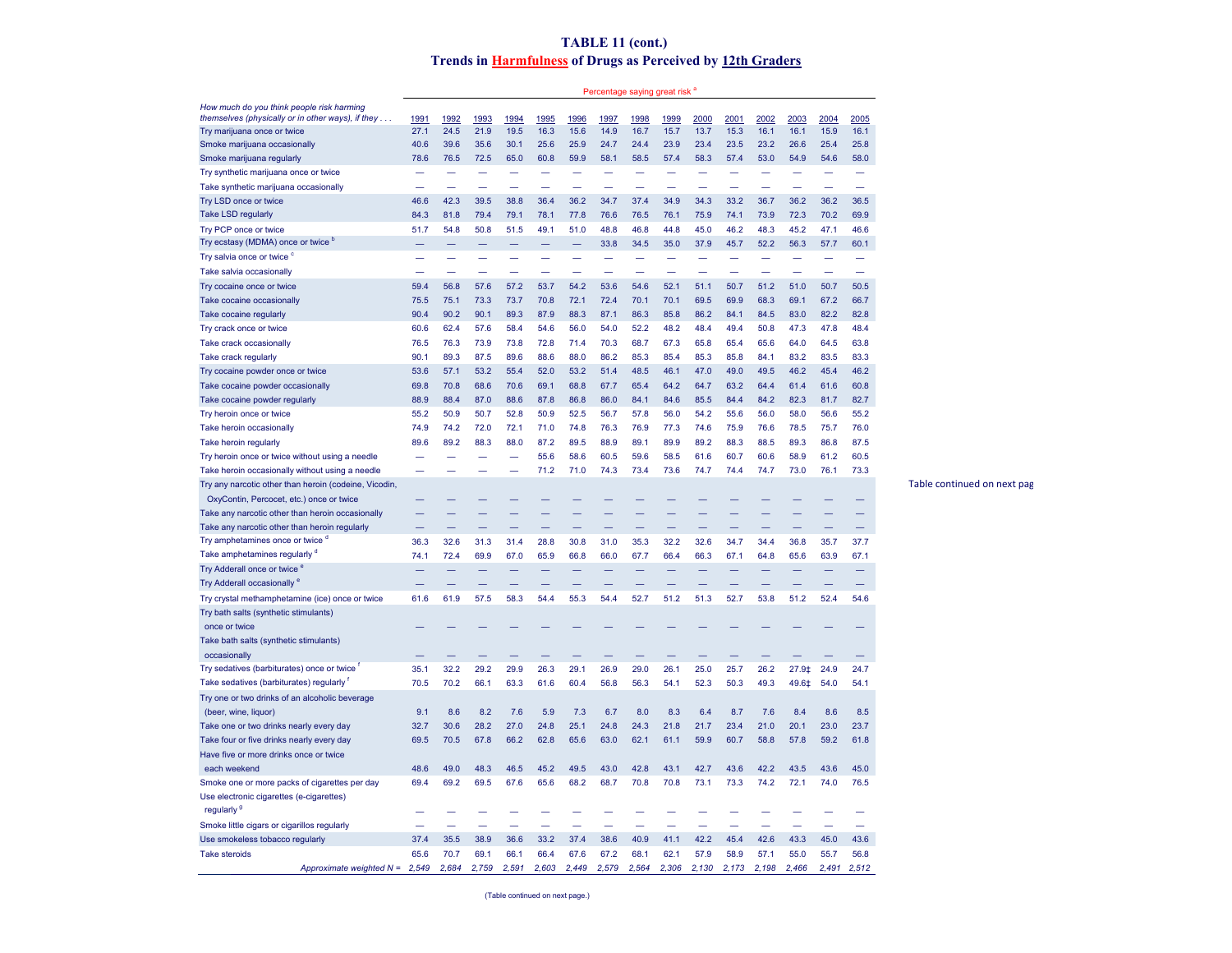## **TABLE 11 (cont.) Trends in Harmfulness of Drugs as Perceived by 12th Graders**

Percentage saying great risk<sup>a</sup>

| How much do you think people risk harming             |       |       |       |       |       |       |          |       |       |       |       |          |       |       |       |
|-------------------------------------------------------|-------|-------|-------|-------|-------|-------|----------|-------|-------|-------|-------|----------|-------|-------|-------|
| themselves (physically or in other ways), if they     | 1991  | 1992  | 1993  | 1994  | 1995  | 1996  | 1997     | 1998  | 1999  | 2000  | 2001  | 2002     | 2003  | 2004  | 2005  |
| Try marijuana once or twice                           | 27.1  | 24.5  | 21.9  | 19.5  | 16.3  | 15.6  | 14.9     | 16.7  | 15.7  | 13.7  | 15.3  | 16.1     | 16.1  | 15.9  | 16.1  |
| Smoke marijuana occasionally                          | 40.6  | 39.6  | 35.6  | 30.1  | 25.6  | 25.9  | 24.7     | 24.4  | 23.9  | 23.4  | 23.5  | 23.2     | 26.6  | 25.4  | 25.8  |
| Smoke marijuana regularly                             | 78.6  | 76.5  | 72.5  | 65.0  | 60.8  | 59.9  | 58.1     | 58.5  | 57.4  | 58.3  | 57.4  | 53.0     | 54.9  | 54.6  | 58.0  |
| Try synthetic marijuana once or twice                 |       |       |       |       |       |       |          |       |       |       |       |          |       |       |       |
| Take synthetic marijuana occasionally                 |       |       |       |       |       |       |          |       |       |       |       |          |       |       |       |
| Try LSD once or twice                                 | 46.6  | 42.3  | 39.5  | 38.8  | 36.4  | 36.2  | 34.7     | 37.4  | 34.9  | 34.3  | 33.2  | 36.7     | 36.2  | 36.2  | 36.5  |
| Take LSD regularly                                    | 84.3  | 81.8  | 79.4  | 79.1  | 78.1  | 77.8  | 76.6     | 76.5  | 76.1  | 75.9  | 74.1  | 73.9     | 72.3  | 70.2  | 69.9  |
| Try PCP once or twice                                 | 51.7  | 54.8  | 50.8  | 51.5  | 49.1  | 51.0  | 48.8     | 46.8  | 44.8  | 45.0  | 46.2  | 48.3     | 45.2  | 47.1  | 46.6  |
| Try ecstasy (MDMA) once or twice b                    |       |       |       |       |       |       | 33.8     | 34.5  | 35.0  | 37.9  | 45.7  | 52.2     | 56.3  | 57.7  | 60.1  |
| Try salvia once or twice <sup>c</sup>                 |       |       |       |       |       |       |          |       |       |       |       |          |       |       |       |
| Take salvia occasionally                              |       |       |       |       |       |       |          |       |       |       |       |          |       |       |       |
| Try cocaine once or twice                             | 59.4  | 56.8  | 57.6  | 57.2  | 53.7  | 54.2  | 53.6     | 54.6  | 52.1  | 51.1  | 50.7  | 51.2     | 51.0  | 50.7  | 50.5  |
| Take cocaine occasionally                             | 75.5  | 75.1  | 73.3  | 73.7  | 70.8  | 72.1  | 72.4     | 70.1  | 70.1  | 69.5  | 69.9  | 68.3     | 69.1  | 67.2  | 66.7  |
| Take cocaine regularly                                | 90.4  | 90.2  | 90.1  | 89.3  | 87.9  | 88.3  | 87.1     | 86.3  | 85.8  | 86.2  | 84.1  | 84.5     | 83.0  | 82.2  | 82.8  |
| Try crack once or twice                               | 60.6  | 62.4  | 57.6  | 58.4  | 54.6  | 56.0  | 54.0     | 52.2  | 48.2  | 48.4  | 49.4  | 50.8     | 47.3  | 47.8  | 48.4  |
| Take crack occasionally                               | 76.5  | 76.3  | 73.9  | 73.8  | 72.8  | 71.4  | 70.3     | 68.7  | 67.3  | 65.8  | 65.4  | 65.6     | 64.0  | 64.5  | 63.8  |
|                                                       | 90.1  | 89.3  | 87.5  | 89.6  | 88.6  | 88.0  | 86.2     | 85.3  | 85.4  | 85.3  | 85.8  | 84.1     | 83.2  | 83.5  | 83.3  |
| Take crack regularly                                  |       |       |       |       |       |       |          |       |       |       |       |          |       |       |       |
| Try cocaine powder once or twice                      | 53.6  | 57.1  | 53.2  | 55.4  | 52.0  | 53.2  | 51.4     | 48.5  | 46.1  | 47.0  | 49.0  | 49.5     | 46.2  | 45.4  | 46.2  |
| Take cocaine powder occasionally                      | 69.8  | 70.8  | 68.6  | 70.6  | 69.1  | 68.8  | 67.7     | 65.4  | 64.2  | 64.7  | 63.2  | 64.4     | 61.4  | 61.6  | 60.8  |
| Take cocaine powder regularly                         | 88.9  | 88.4  | 87.0  | 88.6  | 87.8  | 86.8  | 86.0     | 84.1  | 84.6  | 85.5  | 84.4  | 84.2     | 82.3  | 81.7  | 82.7  |
| Try heroin once or twice                              | 55.2  | 50.9  | 50.7  | 52.8  | 50.9  | 52.5  | 56.7     | 57.8  | 56.0  | 54.2  | 55.6  | 56.0     | 58.0  | 56.6  | 55.2  |
| Take heroin occasionally                              | 74.9  | 74.2  | 72.0  | 72.1  | 71.0  | 74.8  | 76.3     | 76.9  | 77.3  | 74.6  | 75.9  | 76.6     | 78.5  | 75.7  | 76.0  |
| Take heroin regularly                                 | 89.6  | 89.2  | 88.3  | 88.0  | 87.2  | 89.5  | 88.9     | 89.1  | 89.9  | 89.2  | 88.3  | 88.5     | 89.3  | 86.8  | 87.5  |
| Try heroin once or twice without using a needle       |       |       |       |       | 55.6  | 58.6  | 60.5     | 59.6  | 58.5  | 61.6  | 60.7  | 60.6     | 58.9  | 61.2  | 60.5  |
| Take heroin occasionally without using a needle       |       |       |       |       | 71.2  | 71.0  | 74.3     | 73.4  | 73.6  | 74.7  | 74.4  | 74.7     | 73.0  | 76.1  | 73.3  |
| Try any narcotic other than heroin (codeine, Vicodin, |       |       |       |       |       |       |          |       |       |       |       |          |       |       |       |
| OxyContin, Percocet, etc.) once or twice              |       |       |       |       |       |       |          |       |       |       |       |          |       |       |       |
| Take any narcotic other than heroin occasionally      |       |       |       |       |       |       |          |       |       |       |       |          |       |       |       |
| Take any narcotic other than heroin regularly         |       |       |       |       |       |       |          |       |       |       |       |          |       |       |       |
| Try amphetamines once or twice "                      | 36.3  | 32.6  | 31.3  | 31.4  | 28.8  | 30.8  | 31.0     | 35.3  | 32.2  | 32.6  | 34.7  | 34.4     | 36.8  | 35.7  | 37.7  |
| Take amphetamines regularly d                         | 74.1  | 72.4  | 69.9  | 67.0  | 65.9  | 66.8  | 66.0     | 67.7  | 66.4  | 66.3  | 67.1  | 64.8     | 65.6  | 63.9  | 67.1  |
| Try Adderall once or twice <sup>6</sup>               |       |       |       |       |       |       |          |       |       |       |       |          |       |       |       |
| Try Adderall occasionally <sup>e</sup>                |       |       |       |       |       |       |          |       |       |       |       |          |       |       |       |
| Try crystal methamphetamine (ice) once or twice       | 61.6  | 61.9  | 57.5  | 58.3  | 54.4  | 55.3  | 54.4     | 52.7  | 51.2  | 51.3  | 52.7  | 53.8     | 51.2  | 52.4  | 54.6  |
| Try bath salts (synthetic stimulants)                 |       |       |       |       |       |       |          |       |       |       |       |          |       |       |       |
| once or twice                                         |       |       |       |       |       |       |          |       |       |       |       |          |       |       |       |
| Take bath salts (synthetic stimulants)                |       |       |       |       |       |       |          |       |       |       |       |          |       |       |       |
| occasionally                                          |       |       |       |       |       |       |          |       |       |       |       |          |       |       |       |
| Try sedatives (barbiturates) once or twice            | 35.1  | 32.2  | 29.2  | 29.9  | 26.3  | 29.1  | 26.9     | 29.0  | 26.1  | 25.0  | 25.7  | 26.2     | 27.9‡ | 24.9  | 24.7  |
| Take sedatives (barbiturates) regularly               | 70.5  | 70.2  | 66.1  | 63.3  | 61.6  | 60.4  | 56.8     | 56.3  | 54.1  | 52.3  | 50.3  | 49.3     | 49.6‡ | 54.0  | 54.1  |
| Try one or two drinks of an alcoholic beverage        |       |       |       |       |       |       |          |       |       |       |       |          |       |       |       |
|                                                       | 9.1   | 8.6   | 8.2   | 7.6   |       | 7.3   |          | 8.0   | 8.3   |       | 8.7   | 7.6      |       | 8.6   |       |
| (beer, wine, liquor)                                  |       |       |       |       | 5.9   |       | 6.7      |       |       | 6.4   |       |          | 8.4   |       | 8.5   |
| Take one or two drinks nearly every day               | 32.7  | 30.6  | 28.2  | 27.0  | 24.8  | 25.1  | 24.8     | 24.3  | 21.8  | 21.7  | 23.4  | 21.0     | 20.1  | 23.0  | 23.7  |
| Take four or five drinks nearly every day             | 69.5  | 70.5  | 67.8  | 66.2  | 62.8  | 65.6  | 63.0     | 62.1  | 61.1  | 59.9  | 60.7  | 58.8     | 57.8  | 59.2  | 61.8  |
| Have five or more drinks once or twice                |       |       |       |       |       |       |          |       |       |       |       |          |       |       |       |
| each weekend                                          | 48.6  | 49.0  | 48.3  | 46.5  | 45.2  | 49.5  | 43.0     | 42.8  | 43.1  | 42.7  | 43.6  | 42.2     | 43.5  | 43.6  | 45.0  |
| Smoke one or more packs of cigarettes per day         | 69.4  | 69.2  | 69.5  | 67.6  | 65.6  | 68.2  | 68.7     | 70.8  | 70.8  | 73.1  | 73.3  | 74.2     | 72.1  | 74.0  | 76.5  |
| Use electronic cigarettes (e-cigarettes)              |       |       |       |       |       |       |          |       |       |       |       |          |       |       |       |
| regularly <sup>9</sup>                                |       |       |       |       |       |       |          |       |       |       |       |          |       |       |       |
| Smoke little cigars or cigarillos regularly           |       |       |       |       |       |       |          |       |       |       |       |          |       |       |       |
| Use smokeless tobacco regularly                       | 37.4  | 35.5  | 38.9  | 36.6  | 33.2  | 37.4  | 38.6     | 40.9  | 41.1  | 42.2  | 45.4  | 42.6     | 43.3  | 45.0  | 43.6  |
| <b>Take steroids</b>                                  | 65.6  | 70.7  | 69.1  | 66.1  | 66.4  | 67.6  | 67.2     | 68.1  | 62.1  | 57.9  | 58.9  | 57.1     | 55.0  | 55.7  | 56.8  |
| Approximate weighted N =                              | 2,549 | 2,684 | 2.759 | 2.591 | 2.603 | 2.449 | 579<br>2 | 2.564 | 2,306 | 2.130 | 2.173 | 198<br>2 | 2.466 | 2.491 | 2.512 |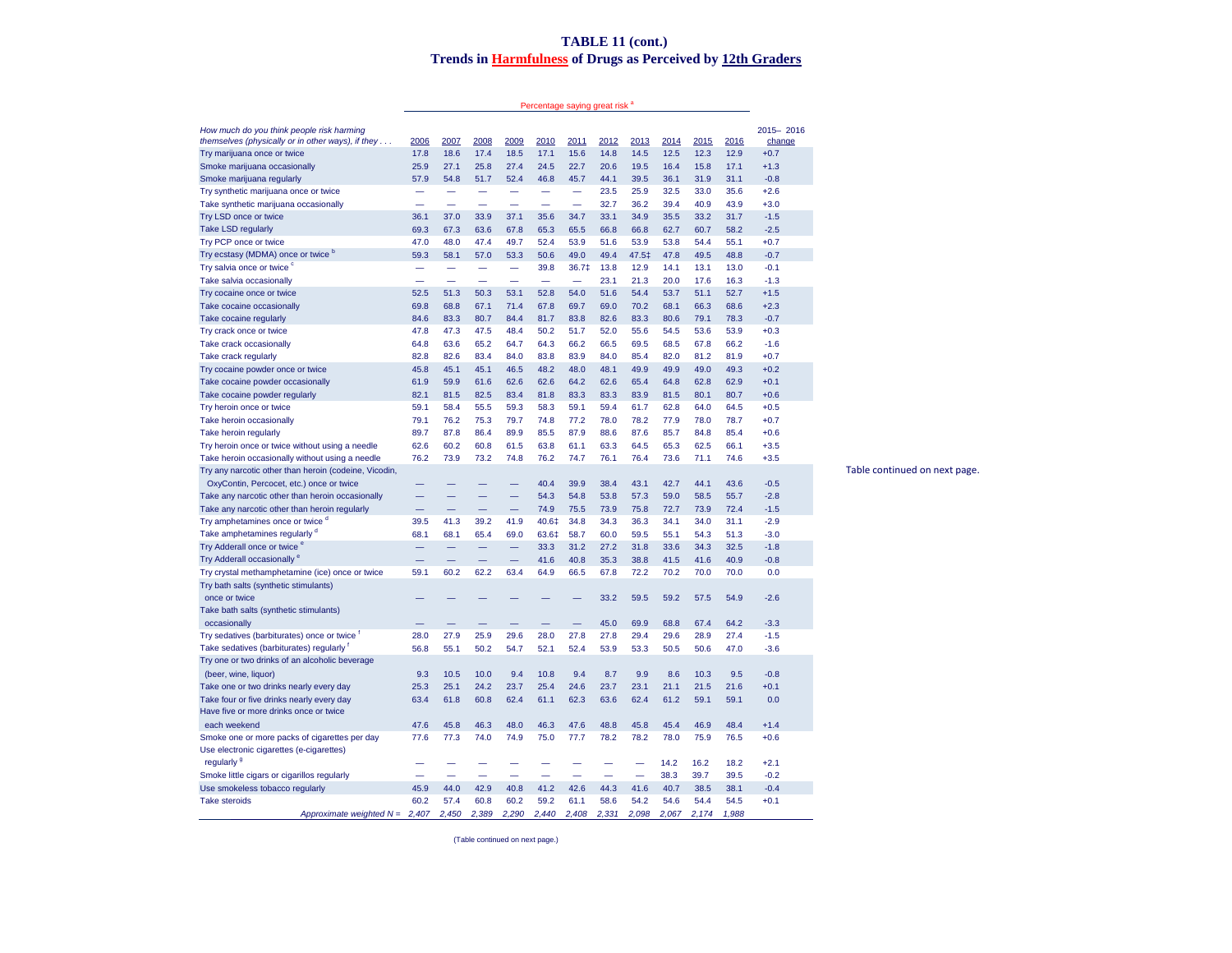## **TABLE 11 (cont.) Trends in Harmfulness of Drugs as Perceived by 12th Graders**

Percentage saying great risk <sup>a</sup>

| How much do you think people risk harming<br>themselves (physically or in other ways), if they | 2006 | 2007 | 2008 | 2009 | 2010  | 2011                     | 2012 | 2013  | 2014   | 2015 | 2016 | 2015-2016<br>change |                               |
|------------------------------------------------------------------------------------------------|------|------|------|------|-------|--------------------------|------|-------|--------|------|------|---------------------|-------------------------------|
| Try marijuana once or twice                                                                    | 17.8 | 18.6 | 17.4 | 18.5 | 17.1  | 15.6                     | 14.8 | 14.5  | $12.5$ | 12.3 | 12.9 | $+0.7$              |                               |
| Smoke marijuana occasionally                                                                   | 25.9 | 27.1 | 25.8 | 27.4 | 24.5  | 22.7                     | 20.6 | 19.5  | 16.4   | 15.8 | 17.1 | $+1.3$              |                               |
| Smoke marijuana regularly                                                                      | 57.9 | 54.8 | 51.7 | 52.4 | 46.8  | 45.7                     | 44.1 | 39.5  | 36.1   | 31.9 | 31.1 | $-0.8$              |                               |
| Try synthetic marijuana once or twice                                                          |      |      |      |      | -     | -                        | 23.5 | 25.9  | 32.5   | 33.0 | 35.6 | $+2.6$              |                               |
| Take synthetic marijuana occasionally                                                          |      |      |      |      | -     | ۰                        | 32.7 | 36.2  | 39.4   | 40.9 | 43.9 | $+3.0$              |                               |
| Try LSD once or twice                                                                          | 36.1 | 37.0 | 33.9 | 37.1 | 35.6  | 34.7                     | 33.1 | 34.9  | 35.5   | 33.2 | 31.7 | $-1.5$              |                               |
| <b>Take LSD regularly</b>                                                                      | 69.3 | 67.3 | 63.6 | 67.8 | 65.3  | 65.5                     | 66.8 | 66.8  | 62.7   | 60.7 | 58.2 | $-2.5$              |                               |
| Try PCP once or twice                                                                          | 47.0 | 48.0 | 47.4 | 49.7 | 52.4  | 53.9                     | 51.6 | 53.9  | 53.8   | 54.4 | 55.1 | $+0.7$              |                               |
| Try ecstasy (MDMA) once or twice b                                                             | 59.3 | 58.1 | 57.0 | 53.3 | 50.6  | 49.0                     | 49.4 | 47.5‡ | 47.8   | 49.5 | 48.8 | $-0.7$              |                               |
| Try salvia once or twice <sup>c</sup>                                                          |      |      |      | -    | 39.8  | 36.7‡                    | 13.8 | 12.9  | 14.1   | 13.1 | 13.0 | $-0.1$              |                               |
| Take salvia occasionally                                                                       |      |      |      |      | -     | $\overline{\phantom{0}}$ | 23.1 | 21.3  | 20.0   | 17.6 | 16.3 | $-1.3$              |                               |
|                                                                                                | 52.5 | 51.3 | 50.3 | 53.1 | 52.8  | 54.0                     | 51.6 | 54.4  | 53.7   | 51.1 | 52.7 | $+1.5$              |                               |
| Try cocaine once or twice                                                                      |      | 68.8 |      |      |       | 69.7                     | 69.0 | 70.2  | 68.1   | 66.3 | 68.6 | $+2.3$              |                               |
| Take cocaine occasionally                                                                      | 69.8 |      | 67.1 | 71.4 | 67.8  |                          |      |       |        |      |      |                     |                               |
| Take cocaine regularly                                                                         | 84.6 | 83.3 | 80.7 | 84.4 | 81.7  | 83.8                     | 82.6 | 83.3  | 80.6   | 79.1 | 78.3 | $-0.7$              |                               |
| Try crack once or twice                                                                        | 47.8 | 47.3 | 47.5 | 48.4 | 50.2  | 51.7                     | 52.0 | 55.6  | 54.5   | 53.6 | 53.9 | $+0.3$              |                               |
| Take crack occasionally                                                                        | 64.8 | 63.6 | 65.2 | 64.7 | 64.3  | 66.2                     | 66.5 | 69.5  | 68.5   | 67.8 | 66.2 | $-1.6$              |                               |
| Take crack regularly                                                                           | 82.8 | 82.6 | 83.4 | 84.0 | 83.8  | 83.9                     | 84.0 | 85.4  | 82.0   | 81.2 | 81.9 | $+0.7$              |                               |
| Try cocaine powder once or twice                                                               | 45.8 | 45.1 | 45.1 | 46.5 | 48.2  | 48.0                     | 48.1 | 49.9  | 49.9   | 49.0 | 49.3 | $+0.2$              |                               |
| Take cocaine powder occasionally                                                               | 61.9 | 59.9 | 61.6 | 62.6 | 62.6  | 64.2                     | 62.6 | 65.4  | 64.8   | 62.8 | 62.9 | $+0.1$              |                               |
| Take cocaine powder regularly                                                                  | 82.1 | 81.5 | 82.5 | 83.4 | 81.8  | 83.3                     | 83.3 | 83.9  | 81.5   | 80.1 | 80.7 | $+0.6$              |                               |
| Try heroin once or twice                                                                       | 59.1 | 58.4 | 55.5 | 59.3 | 58.3  | 59.1                     | 59.4 | 61.7  | 62.8   | 64.0 | 64.5 | $+0.5$              |                               |
| Take heroin occasionally                                                                       | 79.1 | 76.2 | 75.3 | 79.7 | 74.8  | 77.2                     | 78.0 | 78.2  | 77.9   | 78.0 | 78.7 | $+0.7$              |                               |
| Take heroin regularly                                                                          | 89.7 | 87.8 | 86.4 | 89.9 | 85.5  | 87.9                     | 88.6 | 87.6  | 85.7   | 84.8 | 85.4 | $+0.6$              |                               |
| Try heroin once or twice without using a needle                                                | 62.6 | 60.2 | 60.8 | 61.5 | 63.8  | 61.1                     | 63.3 | 64.5  | 65.3   | 62.5 | 66.1 | $+3.5$              |                               |
| Take heroin occasionally without using a needle                                                | 76.2 | 73.9 | 73.2 | 74.8 | 76.2  | 74.7                     | 76.1 | 76.4  | 73.6   | 71.1 | 74.6 | $+3.5$              |                               |
| Try any narcotic other than heroin (codeine, Vicodin,                                          |      |      |      |      |       |                          |      |       |        |      |      |                     | Table continued on next page. |
| OxyContin, Percocet, etc.) once or twice                                                       |      |      |      |      | 40.4  | 39.9                     | 38.4 | 43.1  | 42.7   | 44.1 | 43.6 | $-0.5$              |                               |
| Take any narcotic other than heroin occasionally                                               |      |      |      |      | 54.3  | 54.8                     | 53.8 | 57.3  | 59.0   | 58.5 | 55.7 | $-2.8$              |                               |
| Take any narcotic other than heroin regularly                                                  |      |      |      |      | 74.9  | 75.5                     | 73.9 | 75.8  | 72.7   | 73.9 | 72.4 | $-1.5$              |                               |
| Try amphetamines once or twice <sup>a</sup>                                                    | 39.5 | 41.3 | 39.2 | 41.9 | 40.6‡ | 34.8                     | 34.3 | 36.3  | 34.1   | 34.0 | 31.1 | $-2.9$              |                               |
| Take amphetamines regularly d                                                                  | 68.1 | 68.1 | 65.4 | 69.0 | 63.6‡ | 58.7                     | 60.0 | 59.5  | 55.1   | 54.3 | 51.3 | $-3.0$              |                               |
| Try Adderall once or twice <sup>e</sup>                                                        |      |      |      |      | 33.3  | 31.2                     | 27.2 | 31.8  | 33.6   | 34.3 | 32.5 | $-1.8$              |                               |
| Try Adderall occasionally <sup>e</sup>                                                         |      |      |      |      | 41.6  | 40.8                     | 35.3 | 38.8  | 41.5   | 41.6 | 40.9 | $-0.8$              |                               |
| Try crystal methamphetamine (ice) once or twice                                                | 59.1 | 60.2 | 62.2 | 63.4 | 64.9  | 66.5                     | 67.8 | 72.2  | 70.2   | 70.0 | 70.0 | 0.0                 |                               |
| Try bath salts (synthetic stimulants)                                                          |      |      |      |      |       |                          |      |       |        |      |      |                     |                               |
| once or twice                                                                                  |      |      |      |      |       |                          | 33.2 | 59.5  | 59.2   | 57.5 | 54.9 | $-2.6$              |                               |
| Take bath salts (synthetic stimulants)                                                         |      |      |      |      |       |                          |      |       |        |      |      |                     |                               |
| occasionally                                                                                   |      |      |      |      |       |                          | 45.0 | 69.9  | 68.8   | 67.4 | 64.2 | $-3.3$              |                               |
| Try sedatives (barbiturates) once or twice                                                     | 28.0 | 27.9 | 25.9 | 29.6 | 28.0  | 27.8                     | 27.8 | 29.4  | 29.6   | 28.9 | 27.4 | $-1.5$              |                               |
| Take sedatives (barbiturates) regularly                                                        | 56.8 | 55.1 | 50.2 | 54.7 | 52.1  | 52.4                     | 53.9 | 53.3  | 50.5   | 50.6 | 47.0 | $-3.6$              |                               |
| Try one or two drinks of an alcoholic beverage                                                 |      |      |      |      |       |                          |      |       |        |      |      |                     |                               |
| (beer, wine, liquor)                                                                           | 9.3  | 10.5 | 10.0 | 9.4  | 10.8  | 9.4                      | 8.7  | 9.9   | 8.6    | 10.3 | 9.5  | $-0.8$              |                               |
| Take one or two drinks nearly every day                                                        | 25.3 | 25.1 | 24.2 | 23.7 | 25.4  | 24.6                     | 23.7 | 23.1  | 21.1   | 21.5 | 21.6 | $+0.1$              |                               |
| Take four or five drinks nearly every day                                                      | 63.4 | 61.8 | 60.8 | 62.4 | 61.1  | 62.3                     | 63.6 | 62.4  | 61.2   | 59.1 | 59.1 | 0.0                 |                               |
| Have five or more drinks once or twice                                                         |      |      |      |      |       |                          |      |       |        |      |      |                     |                               |
| each weekend                                                                                   | 47.6 | 45.8 | 46.3 | 48.0 | 46.3  | 47.6                     | 48.8 | 45.8  | 45.4   | 46.9 | 48.4 | $+1.4$              |                               |
| Smoke one or more packs of cigarettes per day                                                  | 77.6 | 77.3 | 74.0 | 74.9 | 75.0  | 77.7                     | 78.2 | 78.2  | 78.0   | 75.9 | 76.5 | $+0.6$              |                               |
| Use electronic cigarettes (e-cigarettes)                                                       |      |      |      |      |       |                          |      |       |        |      |      |                     |                               |
| regularly <sup>9</sup>                                                                         |      |      |      |      |       |                          |      |       | 14.2   | 16.2 | 18.2 | $+2.1$              |                               |
| Smoke little cigars or cigarillos regularly                                                    |      |      |      |      |       |                          |      | -     | 38.3   | 39.7 | 39.5 | $-0.2$              |                               |
| Use smokeless tobacco regularly                                                                | 45.9 | 44.0 | 42.9 | 40.8 | 41.2  | 42.6                     | 44.3 | 41.6  | 40.7   | 38.5 | 38.1 | $-0.4$              |                               |
| <b>Take steroids</b>                                                                           | 60.2 | 57.4 | 60.8 | 60.2 | 59.2  | 61.1                     | 58.6 | 54.2  | 54.6   | 54.4 | 54.5 | $+0.1$              |                               |
|                                                                                                |      |      |      |      |       |                          |      |       |        |      |      |                     |                               |

(Table continued on next page.)